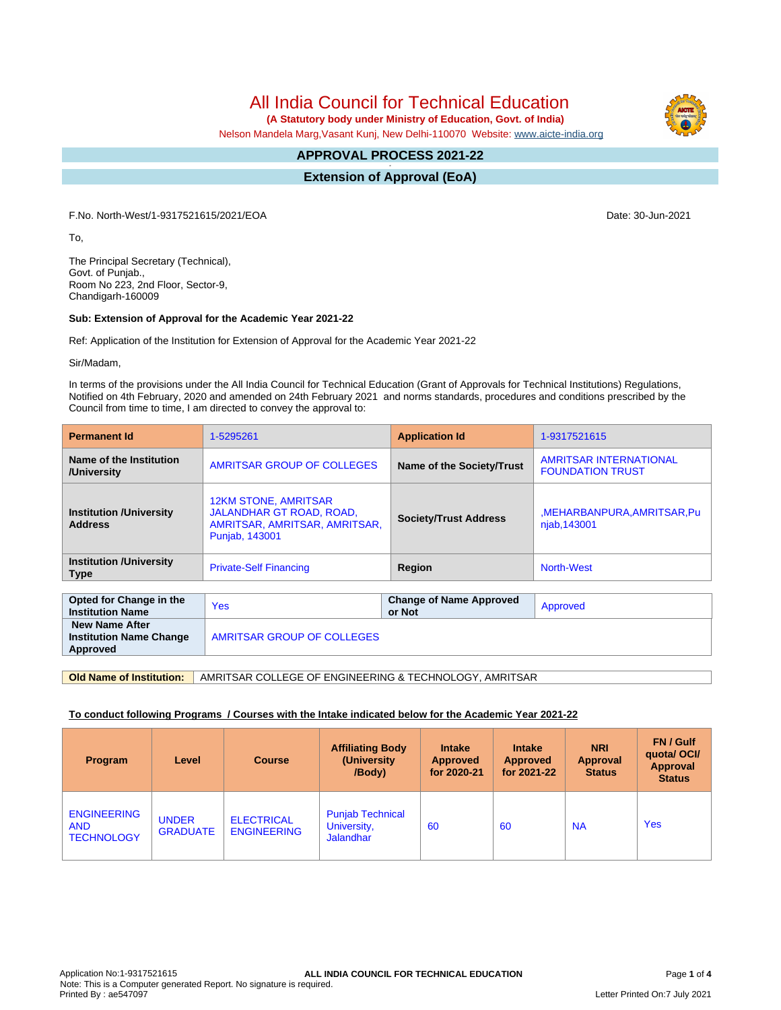All India Council for Technical Education

 **(A Statutory body under Ministry of Education, Govt. of India)**

Nelson Mandela Marg,Vasant Kunj, New Delhi-110070 Website: [www.aicte-india.org](http://www.aicte-india.org)

#### **APPROVAL PROCESS 2021-22 -**

**Extension of Approval (EoA)**

F.No. North-West/1-9317521615/2021/EOA Date: 30-Jun-2021

To,

The Principal Secretary (Technical), Govt. of Punjab., Room No 223, 2nd Floor, Sector-9, Chandigarh-160009

#### **Sub: Extension of Approval for the Academic Year 2021-22**

Ref: Application of the Institution for Extension of Approval for the Academic Year 2021-22

Sir/Madam,

In terms of the provisions under the All India Council for Technical Education (Grant of Approvals for Technical Institutions) Regulations, Notified on 4th February, 2020 and amended on 24th February 2021 and norms standards, procedures and conditions prescribed by the Council from time to time, I am directed to convey the approval to:

| <b>Permanent Id</b>                                | 1-5295261                                                                                                  | <b>Application Id</b>                    | 1-9317521615                                             |  |  |  |
|----------------------------------------------------|------------------------------------------------------------------------------------------------------------|------------------------------------------|----------------------------------------------------------|--|--|--|
| Name of the Institution<br>/University             | AMRITSAR GROUP OF COLLEGES                                                                                 | Name of the Society/Trust                | <b>AMRITSAR INTERNATIONAL</b><br><b>FOUNDATION TRUST</b> |  |  |  |
| <b>Institution / University</b><br><b>Address</b>  | <b>12KM STONE, AMRITSAR</b><br>JALANDHAR GT ROAD, ROAD,<br>AMRITSAR, AMRITSAR, AMRITSAR,<br>Punjab, 143001 | <b>Society/Trust Address</b>             | ,MEHARBANPURA,AMRITSAR,Pu<br>njab, 143001                |  |  |  |
| <b>Institution /University</b><br><b>Type</b>      | <b>Private-Self Financing</b>                                                                              | Region                                   |                                                          |  |  |  |
|                                                    |                                                                                                            |                                          |                                                          |  |  |  |
| Opted for Change in the<br><b>Institution Name</b> | <b>Yes</b>                                                                                                 | <b>Change of Name Approved</b><br>or Not | Approved                                                 |  |  |  |

 **New Name After Institution Name Change Approved** AMRITSAR GROUP OF COLLEGES

**Old Name of Institution:** AMRITSAR COLLEGE OF ENGINEERING & TECHNOLOGY, AMRITSAR

#### **To conduct following Programs / Courses with the Intake indicated below for the Academic Year 2021-22**

| Program                                               | Level                           | <b>Course</b>                           | <b>Affiliating Body</b><br>(University)<br>/Body)          | <b>Intake</b><br><b>Approved</b><br>for 2020-21 | <b>Intake</b><br><b>Approved</b><br>for 2021-22 | <b>NRI</b><br>Approval<br><b>Status</b> | FN / Gulf<br>quotal OCI/<br><b>Approval</b><br><b>Status</b> |
|-------------------------------------------------------|---------------------------------|-----------------------------------------|------------------------------------------------------------|-------------------------------------------------|-------------------------------------------------|-----------------------------------------|--------------------------------------------------------------|
| <b>ENGINEERING</b><br><b>AND</b><br><b>TECHNOLOGY</b> | <b>UNDER</b><br><b>GRADUATE</b> | <b>ELECTRICAL</b><br><b>ENGINEERING</b> | <b>Punjab Technical</b><br>University,<br><b>Jalandhar</b> | 60                                              | 60                                              | <b>NA</b>                               | <b>Yes</b>                                                   |

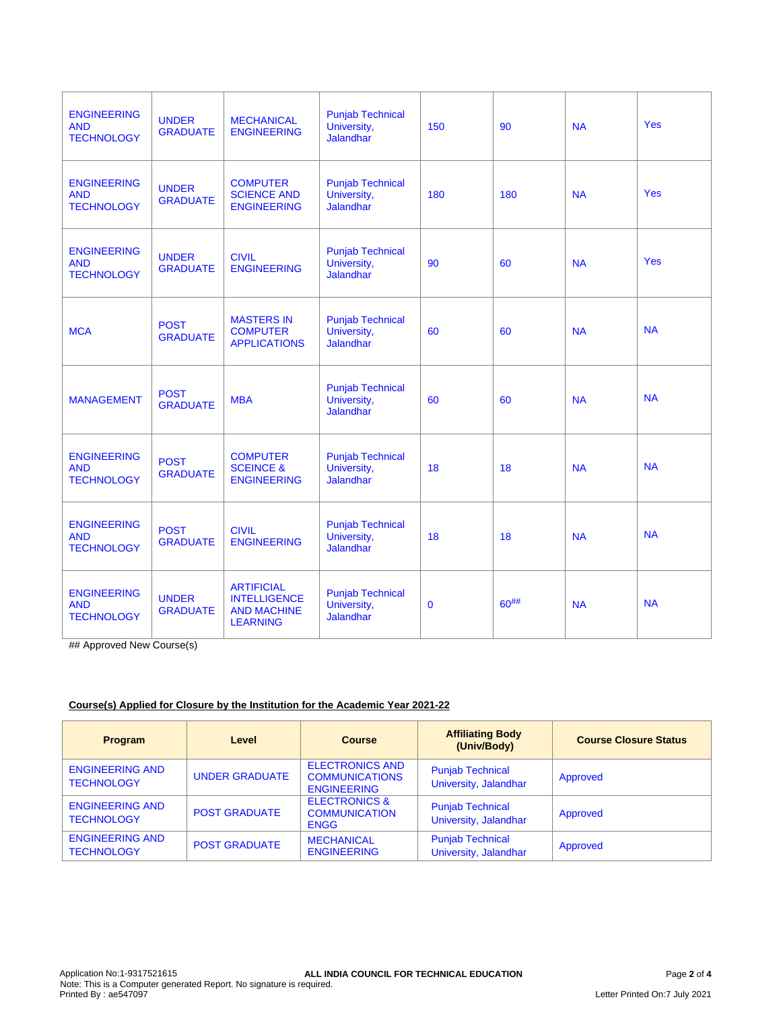| <b>ENGINEERING</b><br><b>AND</b><br><b>TECHNOLOGY</b> | <b>UNDER</b><br><b>GRADUATE</b> | <b>MECHANICAL</b><br><b>ENGINEERING</b>                                           | <b>Punjab Technical</b><br>University,<br><b>Jalandhar</b> | 150          | 90         | <b>NA</b> | <b>Yes</b> |
|-------------------------------------------------------|---------------------------------|-----------------------------------------------------------------------------------|------------------------------------------------------------|--------------|------------|-----------|------------|
| <b>ENGINEERING</b><br><b>AND</b><br><b>TECHNOLOGY</b> | <b>UNDER</b><br><b>GRADUATE</b> | <b>COMPUTER</b><br><b>SCIENCE AND</b><br><b>ENGINEERING</b>                       | <b>Punjab Technical</b><br>University,<br><b>Jalandhar</b> | 180          | 180        | <b>NA</b> | <b>Yes</b> |
| <b>ENGINEERING</b><br><b>AND</b><br><b>TECHNOLOGY</b> | <b>UNDER</b><br><b>GRADUATE</b> | <b>CIVIL</b><br><b>ENGINEERING</b>                                                | <b>Punjab Technical</b><br>University,<br><b>Jalandhar</b> | 90           | 60         | <b>NA</b> | <b>Yes</b> |
| <b>MCA</b>                                            | <b>POST</b><br><b>GRADUATE</b>  | <b>MASTERS IN</b><br><b>COMPUTER</b><br><b>APPLICATIONS</b>                       | <b>Punjab Technical</b><br>University,<br><b>Jalandhar</b> | 60           | 60         | <b>NA</b> | <b>NA</b>  |
| <b>MANAGEMENT</b>                                     | <b>POST</b><br><b>GRADUATE</b>  | <b>MBA</b>                                                                        | <b>Punjab Technical</b><br>University,<br><b>Jalandhar</b> | 60           | 60         | <b>NA</b> | <b>NA</b>  |
| <b>ENGINEERING</b><br><b>AND</b><br><b>TECHNOLOGY</b> | <b>POST</b><br><b>GRADUATE</b>  | <b>COMPUTER</b><br><b>SCEINCE &amp;</b><br><b>ENGINEERING</b>                     | <b>Punjab Technical</b><br>University,<br><b>Jalandhar</b> | 18           | 18         | <b>NA</b> | <b>NA</b>  |
| <b>ENGINEERING</b><br><b>AND</b><br><b>TECHNOLOGY</b> | <b>POST</b><br><b>GRADUATE</b>  | <b>CIVIL</b><br><b>ENGINEERING</b>                                                | <b>Punjab Technical</b><br>University,<br>Jalandhar        | 18           | 18         | <b>NA</b> | <b>NA</b>  |
| <b>ENGINEERING</b><br><b>AND</b><br><b>TECHNOLOGY</b> | <b>UNDER</b><br><b>GRADUATE</b> | <b>ARTIFICIAL</b><br><b>INTELLIGENCE</b><br><b>AND MACHINE</b><br><b>LEARNING</b> | <b>Punjab Technical</b><br>University,<br><b>Jalandhar</b> | $\mathbf{0}$ | $60^{#}\%$ | <b>NA</b> | <b>NA</b>  |

## Approved New Course(s)

## **Course(s) Applied for Closure by the Institution for the Academic Year 2021-22**

| <b>Program</b>                              | Level                 | <b>Course</b>                                                         | <b>Affiliating Body</b><br>(Univ/Body)           | <b>Course Closure Status</b> |
|---------------------------------------------|-----------------------|-----------------------------------------------------------------------|--------------------------------------------------|------------------------------|
| <b>ENGINEERING AND</b><br><b>TECHNOLOGY</b> | <b>UNDER GRADUATE</b> | <b>ELECTRONICS AND</b><br><b>COMMUNICATIONS</b><br><b>ENGINEERING</b> | <b>Punjab Technical</b><br>University, Jalandhar | Approved                     |
| <b>ENGINEERING AND</b><br><b>TECHNOLOGY</b> | <b>POST GRADUATE</b>  | <b>ELECTRONICS &amp;</b><br><b>COMMUNICATION</b><br><b>ENGG</b>       | <b>Punjab Technical</b><br>University, Jalandhar | Approved                     |
| <b>ENGINEERING AND</b><br><b>TECHNOLOGY</b> | <b>POST GRADUATE</b>  | <b>MECHANICAL</b><br><b>ENGINEERING</b>                               | <b>Punjab Technical</b><br>University, Jalandhar | Approved                     |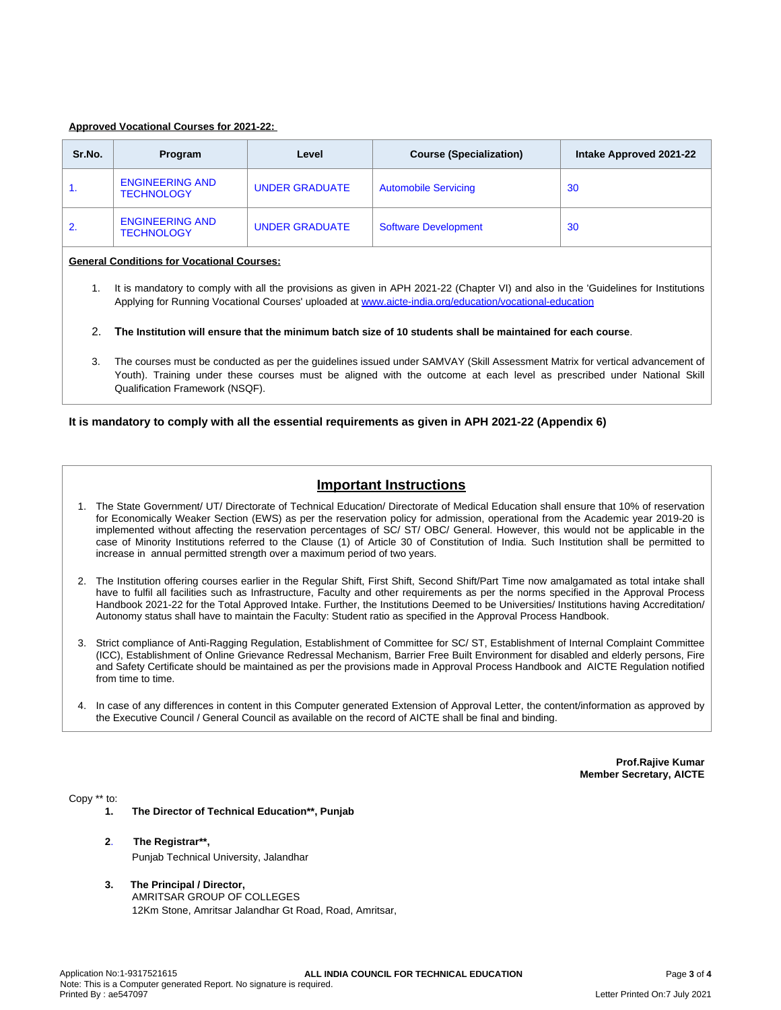#### **Approved Vocational Courses for 2021-22:**

| Sr.No. | Program                                     | Level                 | <b>Course (Specialization)</b> | Intake Approved 2021-22 |
|--------|---------------------------------------------|-----------------------|--------------------------------|-------------------------|
| 1.     | <b>ENGINEERING AND</b><br><b>TECHNOLOGY</b> | <b>UNDER GRADUATE</b> | <b>Automobile Servicing</b>    | 30                      |
| 2.     | <b>ENGINEERING AND</b><br><b>TECHNOLOGY</b> | <b>UNDER GRADUATE</b> | <b>Software Development</b>    | 30                      |

#### **General Conditions for Vocational Courses:**

- 1. It is mandatory to comply with all the provisions as given in APH 2021-22 (Chapter VI) and also in the 'Guidelines for Institutions Applying for Running Vocational Courses' uploaded at [www.aicte-india.org/education/vocational-education](https://www.aicte-india.org/education/vocational-education)
- 2. The Institution will ensure that the minimum batch size of 10 students shall be maintained for each course.
- 3. The courses must be conducted as per the guidelines issued under SAMVAY (Skill Assessment Matrix for vertical advancement of Youth). Training under these courses must be aligned with the outcome at each level as prescribed under National Skill Qualification Framework (NSQF).

#### **It is mandatory to comply with all the essential requirements as given in APH 2021-22 (Appendix 6)**

# **Important Instructions**

- 1. The State Government/ UT/ Directorate of Technical Education/ Directorate of Medical Education shall ensure that 10% of reservation for Economically Weaker Section (EWS) as per the reservation policy for admission, operational from the Academic year 2019-20 is implemented without affecting the reservation percentages of SC/ ST/ OBC/ General. However, this would not be applicable in the case of Minority Institutions referred to the Clause (1) of Article 30 of Constitution of India. Such Institution shall be permitted to increase in annual permitted strength over a maximum period of two years.
- 2. The Institution offering courses earlier in the Regular Shift, First Shift, Second Shift/Part Time now amalgamated as total intake shall have to fulfil all facilities such as Infrastructure, Faculty and other requirements as per the norms specified in the Approval Process Handbook 2021-22 for the Total Approved Intake. Further, the Institutions Deemed to be Universities/ Institutions having Accreditation/ Autonomy status shall have to maintain the Faculty: Student ratio as specified in the Approval Process Handbook.
- 3. Strict compliance of Anti-Ragging Regulation, Establishment of Committee for SC/ ST, Establishment of Internal Complaint Committee (ICC), Establishment of Online Grievance Redressal Mechanism, Barrier Free Built Environment for disabled and elderly persons, Fire and Safety Certificate should be maintained as per the provisions made in Approval Process Handbook and AICTE Regulation notified from time to time.
- 4. In case of any differences in content in this Computer generated Extension of Approval Letter, the content/information as approved by the Executive Council / General Council as available on the record of AICTE shall be final and binding.

**Prof.Rajive Kumar Member Secretary, AICTE**

Copy \*\* to:

- **1. The Director of Technical Education\*\*, Punjab**
- **2**. **The Registrar\*\*,** Punjab Technical University, Jalandhar
- **3. The Principal / Director,** AMRITSAR GROUP OF COLLEGES 12Km Stone, Amritsar Jalandhar Gt Road, Road, Amritsar,